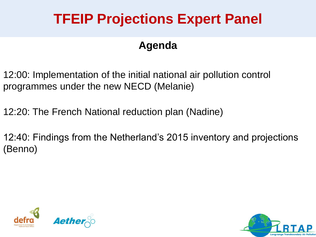# **TFEIP Projections Expert Panel**

#### **Agenda**

12:00: Implementation of the initial national air pollution control programmes under the new NECD (Melanie)

12:20: The French National reduction plan (Nadine)

12:40: Findings from the Netherland's 2015 inventory and projections (Benno)



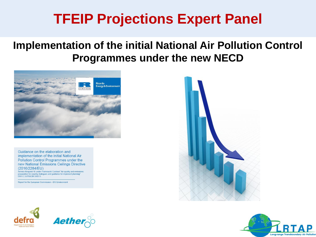### **TFEIP Projections Expert Panel**

#### **Implementation of the initial National Air Pollution Control Programmes under the new NECD**



Guidance on the elaboration and implementation of the initial National Air Pollution Control Programmes under the new National Emissions Ceilings Directive (2016/2284/EU) e Request 10 under Framework Contract "Air quality and emissions

preparation for country dialogues and guidance for improved planning" ENV.C.3./FRA/2013/0013

Report for the European Commission - DG Environment







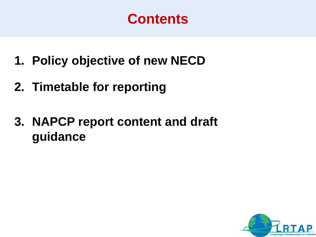### **Contents**

- **1. Policy objective of new NECD**
- **2. Timetable for reporting**
- **3. NAPCP report content and draft guidance**

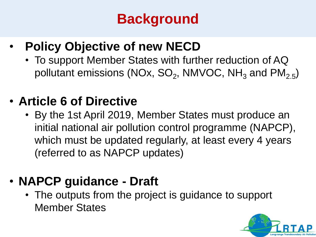# **Background**

#### • **Policy Objective of new NECD**

• To support Member States with further reduction of AQ pollutant emissions (NOx, SO<sub>2</sub>, NMVOC, NH $_{\rm 3}$  and PM $_{\rm 2.5})$ 

#### • **Article 6 of Directive**

• By the 1st April 2019, Member States must produce an initial national air pollution control programme (NAPCP), which must be updated regularly, at least every 4 years (referred to as NAPCP updates)

### • **NAPCP guidance - Draft**

• The outputs from the project is guidance to support Member States

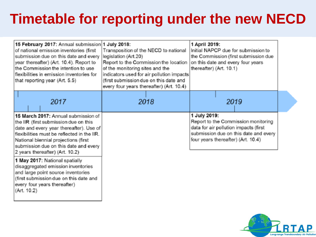## **Timetable for reporting under the new NECD**

| 15 February 2017: Annual submission 1 July 2018:<br>of national emission inventories (first<br>submission due on this date and every<br>year thereafter) (Art. 10.4). Report to<br>the Commission the intention to use<br>flexibilities in emission inventories for<br>that reporting year (Art. 5.5) | Transposition of the NECD to national<br>legislation (Art.20)<br>Report to the Commission the location<br>of the monitoring sites and the<br>indicators used for air pollution impacts<br>(first submission due on this date and<br>every four years thereafter) (Art. 10.4) |      | 1 April 2019:<br>Initial NAPCP due for submission to<br>the Commission (first submission due<br>on this date and every four years<br>thereafter) (Art. 10.1) |  |      |
|-------------------------------------------------------------------------------------------------------------------------------------------------------------------------------------------------------------------------------------------------------------------------------------------------------|------------------------------------------------------------------------------------------------------------------------------------------------------------------------------------------------------------------------------------------------------------------------------|------|--------------------------------------------------------------------------------------------------------------------------------------------------------------|--|------|
| 2017<br>15 March 2017: Annual submission of                                                                                                                                                                                                                                                           |                                                                                                                                                                                                                                                                              | 2018 | 1 July 2019:                                                                                                                                                 |  | 2019 |
| the IIR (first submission due on this<br>date and every year thereafter). Use of<br>flexibilities must be reflected in the IIR.<br>National biennial projections (first<br>submission due on this date and every<br>2 years thereafter) (Art. 10.2)                                                   |                                                                                                                                                                                                                                                                              |      | Report to the Commission monitoring<br>data for air pollution impacts (first<br>submission due on this date and every<br>four years thereafter) (Art. 10.4)  |  |      |
| 1 May 2017: National spatially<br>disaggregated emission inventories<br>and large point source inventories<br>(first submission due on this date and<br>every four years thereafter)<br>(Art. 10.2)                                                                                                   |                                                                                                                                                                                                                                                                              |      |                                                                                                                                                              |  |      |

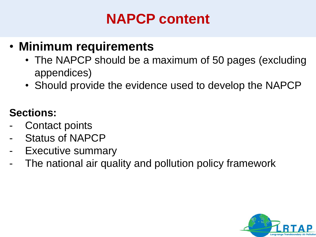# **NAPCP content**

#### • **Minimum requirements**

- The NAPCP should be a maximum of 50 pages (excluding appendices)
- Should provide the evidence used to develop the NAPCP

#### **Sections:**

- Contact points
- Status of NAPCP
- Executive summary
- The national air quality and pollution policy framework

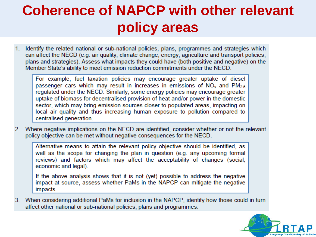# **Coherence of NAPCP with other relevant policy areas**

Identify the related national or sub-national policies, plans, programmes and strategies which  $1<sup>1</sup>$ can affect the NECD (e.g. air quality, climate change, energy, agriculture and transport policies, plans and strategies). Assess what impacts they could have (both positive and negative) on the Member State's ability to meet emission reduction commitments under the NECD.

For example, fuel taxation policies may encourage greater uptake of diesel passenger cars which may result in increases in emissions of  $NO<sub>x</sub>$  and  $PM<sub>2.5</sub>$ regulated under the NECD. Similarly, some energy policies may encourage greater uptake of biomass for decentralised provision of heat and/or power in the domestic sector, which may bring emission sources closer to populated areas, impacting on local air quality and thus increasing human exposure to pollution compared to centralised generation.

2. Where negative implications on the NECD are identified, consider whether or not the relevant policy objective can be met without negative consequences for the NECD.

Alternative means to attain the relevant policy objective should be identified, as well as the scope for changing the plan in question (e.g. any upcoming formal reviews) and factors which may affect the acceptability of changes (social, economic and legal).

If the above analysis shows that it is not (yet) possible to address the negative impact at source, assess whether PaMs in the NAPCP can mitigate the negative impacts.

3. When considering additional PaMs for inclusion in the NAPCP, identify how those could in turn affect other national or sub-national policies, plans and programmes.

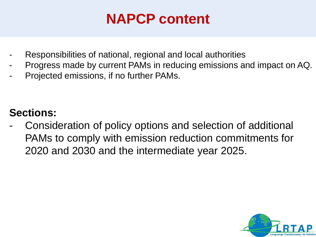## **NAPCP content**

- Responsibilities of national, regional and local authorities
- Progress made by current PAMs in reducing emissions and impact on AQ.
- Projected emissions, if no further PAMs.

#### **Sections:**

Consideration of policy options and selection of additional PAMs to comply with emission reduction commitments for 2020 and 2030 and the intermediate year 2025.

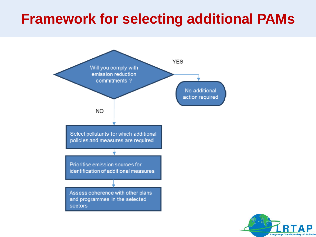### **Framework for selecting additional PAMs**



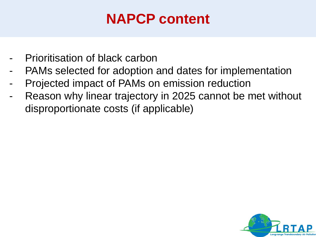# **NAPCP content**

- Prioritisation of black carbon
- PAMs selected for adoption and dates for implementation
- Projected impact of PAMs on emission reduction
- Reason why linear trajectory in 2025 cannot be met without disproportionate costs (if applicable)